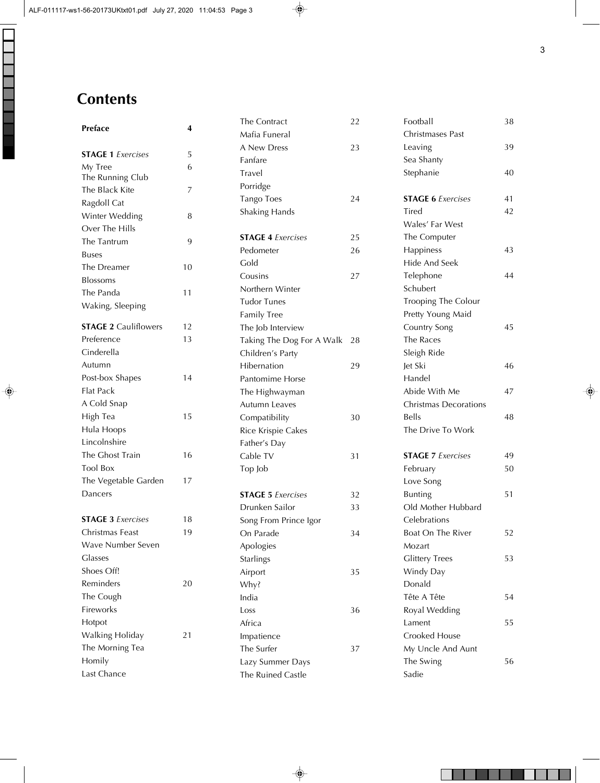## **Contents**

| Preface                     | 4  |  |
|-----------------------------|----|--|
| <b>STAGE 1</b> Exercises    | 5  |  |
| My Tree                     | 6  |  |
| The Running Club            |    |  |
| The Black Kite              | 7  |  |
| Ragdoll Cat                 |    |  |
| Winter Wedding              | 8  |  |
| Over The Hills              |    |  |
| The Tantrum                 | 9  |  |
| <b>Buses</b>                |    |  |
| The Dreamer                 | 10 |  |
| <b>Blossoms</b>             |    |  |
| The Panda                   | 11 |  |
| Waking, Sleeping            |    |  |
| <b>STAGE 2 Cauliflowers</b> | 12 |  |
| Preference                  | 13 |  |
| Cinderella                  |    |  |
| Autumn                      |    |  |
| Post-box Shapes             | 14 |  |
| <b>Flat Pack</b>            |    |  |
| A Cold Snap                 |    |  |
| High Tea                    | 15 |  |
| Hula Hoops                  |    |  |
| Lincolnshire                |    |  |
| The Ghost Train             | 16 |  |
| <b>Tool Box</b>             |    |  |
| The Vegetable Garden        | 17 |  |
| Dancers                     |    |  |
| <b>STAGE 3</b> Exercises    | 18 |  |
| Christmas Feast             | 19 |  |
| Wave Number Seven           |    |  |
| Glasses                     |    |  |
| Shoes Off!                  |    |  |
| Reminders                   | 20 |  |
| The Cough                   |    |  |
| Fireworks                   |    |  |
| Hotpot                      |    |  |
| Walking Holiday             | 21 |  |
| The Morning Tea             |    |  |
| Homily                      |    |  |
| Last Chance                 |    |  |

| The Contract              | 22 |
|---------------------------|----|
| Mafia Funeral             |    |
| A New Dress               | 23 |
| Fanfare                   |    |
| Travel                    |    |
| Porridge                  |    |
| <b>Tango Toes</b>         | 24 |
| Shaking Hands             |    |
|                           |    |
| <b>STAGE 4 Exercises</b>  | 25 |
| Pedometer                 | 26 |
| Gold                      |    |
| Cousins                   | 27 |
| Northern Winter           |    |
| <b>Tudor Tunes</b>        |    |
| <b>Family Tree</b>        |    |
| The Job Interview         |    |
| Taking The Dog For A Walk | 28 |
| Children's Party          |    |
| Hibernation               | 29 |
| Pantomime Horse           |    |
| The Highwayman            |    |
| Autumn Leaves             |    |
| Compatibility             | 30 |
| Rice Krispie Cakes        |    |
| Father's Day              |    |
| Cable TV                  | 31 |
| Top Job                   |    |
|                           |    |
| <b>STAGE 5</b> Exercises  | 32 |
| Drunken Sailor            | 33 |
| Song From Prince Igor     |    |
| On Parade                 | 34 |
| Apologies                 |    |
| <b>Starlings</b>          |    |
| Airport                   | 35 |
| Why?                      |    |
| India                     |    |
| Loss                      | 36 |
|                           |    |
| Africa                    |    |
| Impatience                |    |
| The Surfer                | 37 |
| Lazy Summer Days          |    |

| Football                     | 38 |
|------------------------------|----|
| Christmases Past             |    |
| Leaving                      | 39 |
| Sea Shanty                   |    |
| Stephanie                    | 40 |
| <b>STAGE 6 Exercises</b>     | 41 |
| Tired                        | 42 |
| Wales' Far West              |    |
| The Computer                 |    |
| Happiness                    | 43 |
| Hide And Seek                |    |
| Telephone                    | 44 |
| Schubert                     |    |
| <b>Trooping The Colour</b>   |    |
| Pretty Young Maid            |    |
| Country Song                 | 45 |
| The Races                    |    |
| Sleigh Ride                  |    |
| Jet Ski                      | 46 |
| Handel                       |    |
| Abide With Me                | 47 |
| <b>Christmas Decorations</b> |    |
| <b>Bells</b>                 | 48 |
| The Drive To Work            |    |
| <b>STAGE 7 Exercises</b>     | 49 |
| February                     | 50 |
| Love Song                    |    |
| <b>Bunting</b>               | 51 |
| Old Mother Hubbard           |    |
| Celebrations                 |    |
| Boat On The River            | 52 |
| Mozart                       |    |
| <b>Glittery Trees</b>        | 53 |
| Windy Day                    |    |
| Donald                       |    |
| Tête A Tête                  | 54 |
| Royal Wedding                |    |
| Lament                       | 55 |
| Crooked House                |    |
| My Uncle And Aunt            |    |
| The Swing                    | 56 |
| Sadie                        |    |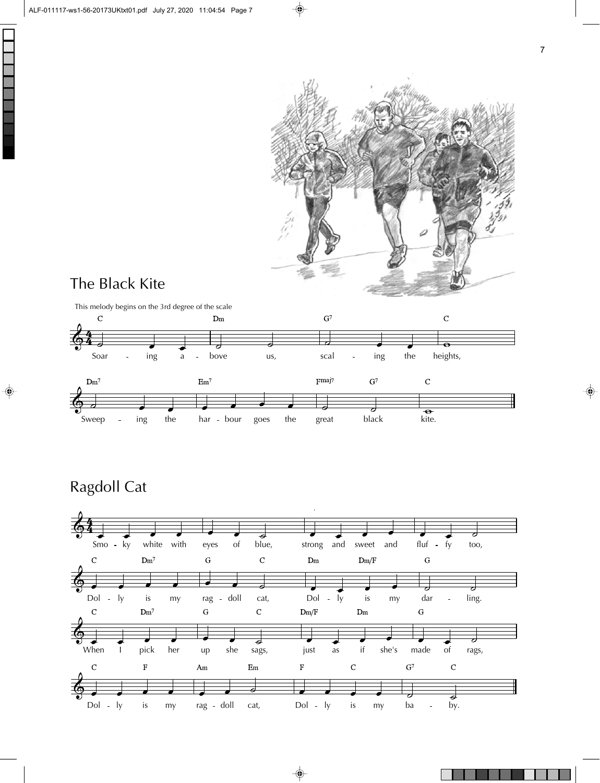

## The Black Kite



## Ragdoll Cat